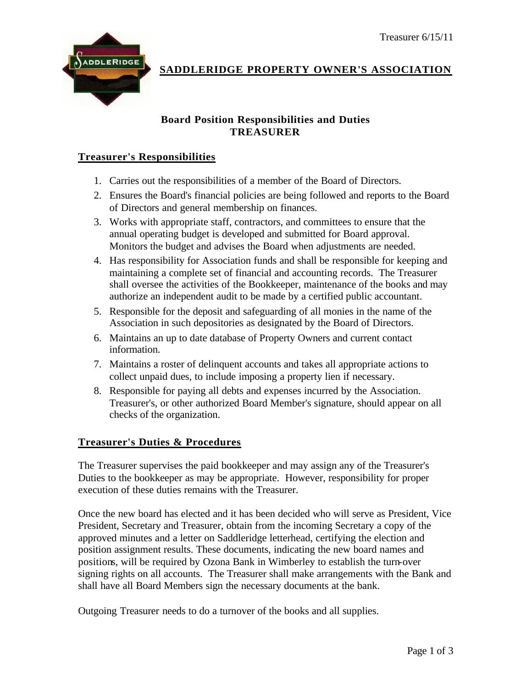

## **SADDLERIDGE PROPERTY OWNER'S ASSOCIATION**

## **Board Position Responsibilities and Duties TREASURER**

## **Treasurer's Responsibilities**

- 1. Carries out the responsibilities of a member of the Board of Directors.
- 2. Ensures the Board's financial policies are being followed and reports to the Board of Directors and general membership on finances.
- 3. Works with appropriate staff, contractors, and committees to ensure that the annual operating budget is developed and submitted for Board approval. Monitors the budget and advises the Board when adjustments are needed.
- 4. Has responsibility for Association funds and shall be responsible for keeping and maintaining a complete set of financial and accounting records. The Treasurer shall oversee the activities of the Bookkeeper, maintenance of the books and may authorize an independent audit to be made by a certified public accountant.
- 5. Responsible for the deposit and safeguarding of all monies in the name of the Association in such depositories as designated by the Board of Directors.
- 6. Maintains an up to date database of Property Owners and current contact information.
- 7. Maintains a roster of delinquent accounts and takes all appropriate actions to collect unpaid dues, to include imposing a property lien if necessary.
- 8. Responsible for paying all debts and expenses incurred by the Association. Treasurer's, or other authorized Board Member's signature, should appear on all checks of the organization.

## **Treasurer's Duties & Procedures**

The Treasurer supervises the paid bookkeeper and may assign any of the Treasurer's Duties to the bookkeeper as may be appropriate. However, responsibility for proper execution of these duties remains with the Treasurer.

Once the new board has elected and it has been decided who will serve as President, Vice President, Secretary and Treasurer, obtain from the incoming Secretary a copy of the approved minutes and a letter on Saddleridge letterhead, certifying the election and position assignment results. These documents, indicating the new board names and positions, will be required by Ozona Bank in Wimberley to establish the turn-over signing rights on all accounts. The Treasurer shall make arrangements with the Bank and shall have all Board Members sign the necessary documents at the bank.

Outgoing Treasurer needs to do a turnover of the books and all supplies.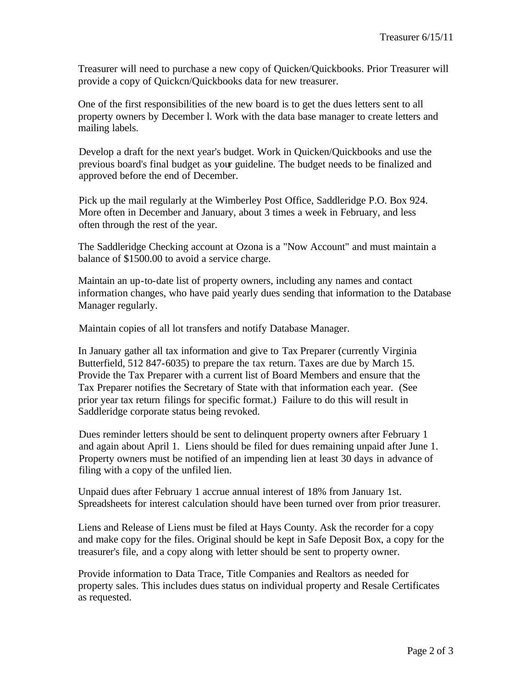Treasurer will need to purchase a new copy of Quicken/Quickbooks. Prior Treasurer will provide a copy of Quickcn/Quickbooks data for new treasurer.

One of the first responsibilities of the new board is to get the dues letters sent to all property owners by December l. Work with the data base manager to create letters and mailing labels.

Develop a draft for the next year's budget. Work in Quicken/Quickbooks and use the previous board's final budget as your guideline. The budget needs to be finalized and approved before the end of December.

Pick up the mail regularly at the Wimberley Post Office, Saddleridge P.O. Box 924. More often in December and January, about 3 times a week in February, and less often through the rest of the year.

The Saddleridge Checking account at Ozona is a "Now Account" and must maintain a balance of \$1500.00 to avoid a service charge.

Maintain an up-to-date list of property owners, including any names and contact information changes, who have paid yearly dues sending that information to the Database Manager regularly.

Maintain copies of all lot transfers and notify Database Manager.

In January gather all tax information and give to Tax Preparer (currently Virginia Butterfield, 512 847-6035) to prepare the tax return. Taxes are due by March 15. Provide the Tax Preparer with a current list of Board Members and ensure that the Tax Preparer notifies the Secretary of State with that information each year. (See prior year tax return filings for specific format.) Failure to do this will result in Saddleridge corporate status being revoked.

Dues reminder letters should be sent to delinquent property owners after February 1 and again about April 1. Liens should be filed for dues remaining unpaid after June 1. Property owners must be notified of an impending lien at least 30 days in advance of filing with a copy of the unfiled lien.

Unpaid dues after February 1 accrue annual interest of 18% from January 1st. Spreadsheets for interest calculation should have been turned over from prior treasurer.

Liens and Release of Liens must be filed at Hays County. Ask the recorder for a copy and make copy for the files. Original should be kept in Safe Deposit Box, a copy for the treasurer's file, and a copy along with letter should be sent to property owner.

Provide information to Data Trace, Title Companies and Realtors as needed for property sales. This includes dues status on individual property and Resale Certificates as requested.